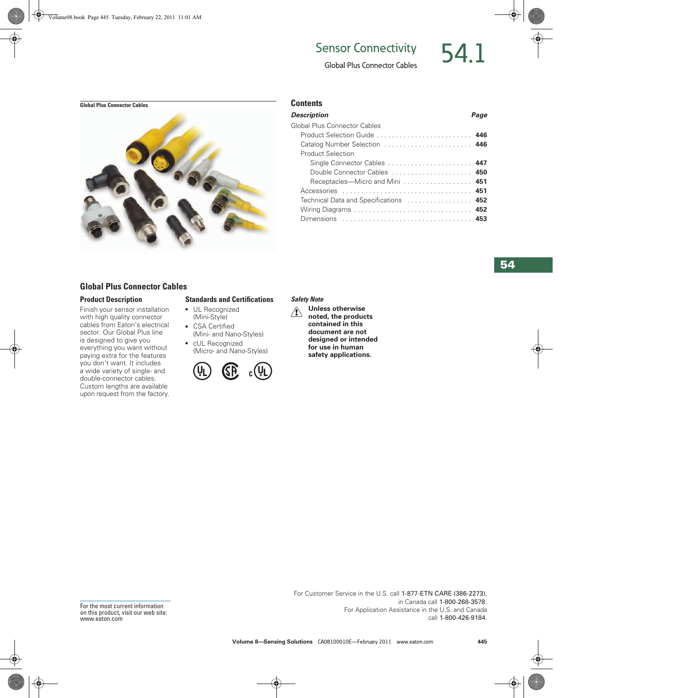# Sensor Connectivity 54



# Global Plus Connector Cables



# **Global Plus Connector Cables**

### **Product Description**

Finish your sensor installation with high quality connector cables from Eaton's electrical sector. Our Global Plus line is designed to give you everything you want without paying extra for the features you don't want. It includes a wide variety of single- and double-connector cables. Custom lengths are available upon request from the factory.

### **Standards and Certifications**

- UL Recognized (Mini-Style)
- CSA Certified (Mini- and Nano-Styles) ● cUL Recognized
	- (Micro- and Nano-Styles)



| Description                            | Page |
|----------------------------------------|------|
| Global Plus Connector Cables           |      |
|                                        |      |
| Catalog Number Selection  446          |      |
| <b>Product Selection</b>               |      |
| Single Connector Cables  447           |      |
| Double Connector Cables  450           |      |
| Receptacles—Micro and Mini  451        |      |
| Accessories  451                       |      |
| Technical Data and Specifications  452 |      |
|                                        |      |
| Dimensions  453                        |      |
|                                        |      |

#### *Safety Note*

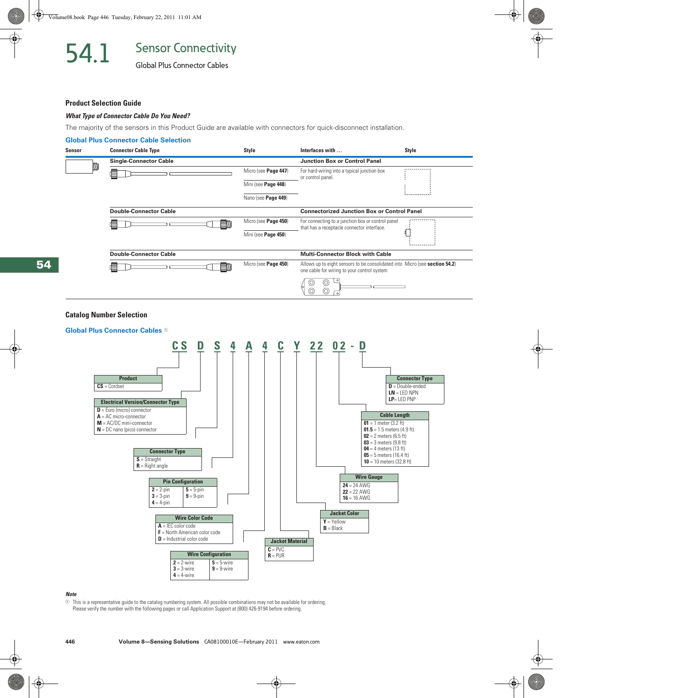Global Plus Connector Cables

#### **Product Selection Guide**

#### *What Type of Connector Cable Do You Need?*

The majority of the sensors in this Product Guide are available with connectors for quick-disconnect installation.

#### **Global Plus Connector Cable Selection**



### **Catalog Number Selection**



#### *Note*

 $\odot$  This is a representative guide to the catalog numbering system. All possible combinations may not be available for ordering. Please verify the number with the following pages or call Application Support at (800) 426-9194 before ordering.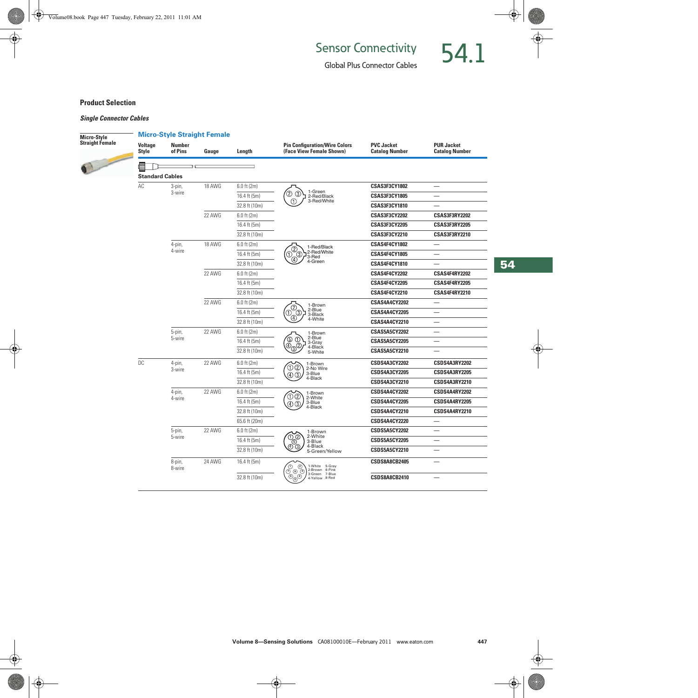Global Plus Connector Cables

# **Product Selection**

# *Single Connector Cables*

| Micro-Style     | <b>Micro-Style Straight Female</b> |                          |                  |               |                                                                                                                         |                                            |                                            |  |
|-----------------|------------------------------------|--------------------------|------------------|---------------|-------------------------------------------------------------------------------------------------------------------------|--------------------------------------------|--------------------------------------------|--|
| Straight Female | Voltage<br><b>Style</b>            | <b>Number</b><br>of Pins | Gauge            | Length        | <b>Pin Configuration/Wire Colors</b><br>(Face View Female Shown)                                                        | <b>PVC Jacket</b><br><b>Catalog Number</b> | <b>PUR Jacket</b><br><b>Catalog Number</b> |  |
|                 | <b>Standard Cables</b>             |                          |                  |               |                                                                                                                         |                                            |                                            |  |
|                 | AC                                 | 3-pin,                   | 18 AWG           | $6.0$ ft (2m) |                                                                                                                         | CSAS3F3CY1802                              |                                            |  |
|                 |                                    | 3-wire                   | 22 AWG           | 16.4 ft (5m)  | 1-Green<br>Ø<br>$\circled{3}$<br>2-Red/Black<br>3-Red/White<br>➀                                                        | CSAS3F3CY1805                              |                                            |  |
|                 |                                    |                          |                  | 32.8 ft (10m) |                                                                                                                         | CSAS3F3CY1810                              |                                            |  |
|                 |                                    |                          |                  | $6.0$ ft (2m) |                                                                                                                         | CSAS3F3CY2202                              | CSAS3F3RY2202                              |  |
|                 |                                    |                          |                  | 16.4 ft (5m)  |                                                                                                                         | CSAS3F3CY2205                              | CSAS3F3RY2205                              |  |
|                 |                                    |                          |                  | 32.8 ft (10m) |                                                                                                                         | CSAS3F3CY2210                              | CSAS3F3RY2210                              |  |
|                 |                                    | 4-pin,                   | 18 AWG<br>22 AWG | $6.0$ ft (2m) |                                                                                                                         | CSAS4F4CY1802                              |                                            |  |
|                 |                                    | 4-wire                   |                  | 16.4 ft (5m)  | 1-Red/Black<br>2-Red/White<br>73-Red<br>(2)<br>③<br>(1)                                                                 | <b>CSAS4F4CY1805</b>                       |                                            |  |
|                 |                                    |                          |                  | 32.8 ft (10m) | $\circledA$<br>4-Green                                                                                                  | CSAS4F4CY1810                              |                                            |  |
|                 |                                    |                          |                  | $6.0$ ft (2m) |                                                                                                                         | CSAS4F4CY2202                              | CSAS4F4RY2202                              |  |
|                 |                                    |                          |                  | 16.4 ft (5m)  |                                                                                                                         | CSAS4F4CY2205                              | CSAS4F4RY2205                              |  |
|                 |                                    |                          |                  | 32.8 ft (10m) |                                                                                                                         | CSAS4F4CY2210                              | CSAS4F4RY2210                              |  |
|                 |                                    |                          | 22 AWG           | $6.0$ ft (2m) | 1-Brown<br>C<br>2-Blue<br>➀<br>G)<br>3-Black<br>(4)<br>4-White                                                          | CSAS4A4CY2202                              |                                            |  |
|                 |                                    |                          |                  | 16.4 ft (5m)  |                                                                                                                         | <b>CSAS4A4CY2205</b>                       |                                            |  |
|                 |                                    |                          |                  | 32.8 ft (10m) |                                                                                                                         | CSAS4A4CY2210                              |                                            |  |
|                 |                                    | 5-pin,                   | 22 AWG           | $6.0$ ft (2m) | 1-Brown                                                                                                                 | <b>CSAS5A5CY2202</b>                       |                                            |  |
|                 |                                    | 5-wire                   |                  | 16.4 ft (5m)  | 2-Blue<br>G)<br>Œ<br>3-Gray                                                                                             | <b>CSAS5A5CY2205</b>                       |                                            |  |
|                 |                                    |                          |                  | 32.8 ft (10m) | 4<br>Ω.<br>4-Black<br>5-White<br>3                                                                                      | CSAS5A5CY2210                              |                                            |  |
|                 | DC                                 | 4-pin,<br>3-wire         | 22 AWG           | $6.0$ ft (2m) | 1-Brown<br>OC.<br>2-No Wire<br>3-Blue<br>(4) (3)<br>4-Black                                                             | <b>CSDS4A3CY2202</b>                       | CSDS4A3RY2202                              |  |
|                 |                                    |                          |                  | 16.4 ft (5m)  |                                                                                                                         | <b>CSDS4A3CY2205</b>                       | <b>CSDS4A3RY2205</b>                       |  |
|                 |                                    |                          |                  | 32.8 ft (10m) |                                                                                                                         | CSDS4A3CY2210                              | CSDS4A3RY2210                              |  |
|                 |                                    | 4-pin,                   | 22 AWG           | $6.0$ ft (2m) | 1-Brown                                                                                                                 | <b>CSDS4A4CY2202</b>                       | CSDS4A4RY2202                              |  |
|                 |                                    | 4-wire                   |                  | 16.4 ft (5m)  | OC)<br>2-White<br>3-Blue<br>$\left( 4\right)$ $\left( 3\right)$                                                         | <b>CSDS4A4CY2205</b>                       | <b>CSDS4A4RY2205</b>                       |  |
|                 |                                    |                          | 32.8 ft (10m)    | 4-Black       | CSDS4A4CY2210                                                                                                           | CSDS4A4RY2210                              |                                            |  |
|                 |                                    |                          |                  | 65.6 ft (20m) |                                                                                                                         | <b>CSDS4A4CY2220</b>                       |                                            |  |
|                 |                                    | 5-pin,<br>5-wire         | 22 AWG           | $6.0$ ft (2m) | 1-Brown                                                                                                                 | <b>CSDS5A5CY2202</b>                       | $\overline{\phantom{0}}$                   |  |
|                 |                                    |                          |                  | 16.4 ft (5m)  | 2-White<br>$(1)$ $(2)$<br>3-Blue<br>(5)<br>4-Black<br>(4)<br>5-Green/Yellow                                             | <b>CSDS5A5CY2205</b>                       | $\overline{\phantom{0}}$                   |  |
|                 |                                    |                          |                  | 32.8 ft (10m) |                                                                                                                         | CSDS5A5CY2210                              |                                            |  |
|                 |                                    | 8-pin,<br>8-wire         | 24 AWG           | 16.4 ft (5m)  | ∩)<br>1-White<br>5-Gray<br>2-Brown<br>6-Pink                                                                            | <b>CSDS8A8CB2405</b>                       |                                            |  |
|                 |                                    |                          |                  | 32.8 ft (10m) | $\bar{{\mathbb{O}}}$ $\bar{{\mathbb{O}}}$ $\bar{{\mathbb{O}}}$<br>7-Blue<br>3-Green<br>$\mathfrak{S}$<br>4-Yellow 8-Red | CSDS8A8CB2410                              |                                            |  |

**54**